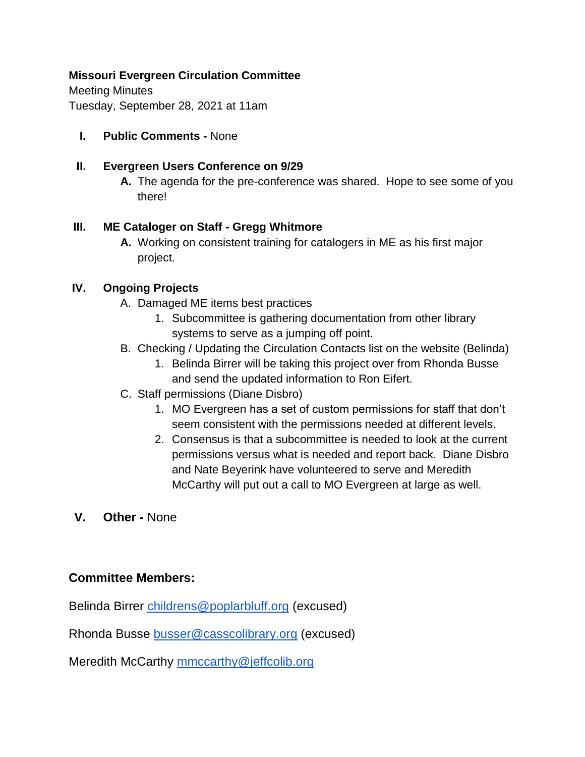# **Missouri Evergreen Circulation Committee**

Meeting Minutes Tuesday, September 28, 2021 at 11am

**I. Public Comments -** None

### **II. Evergreen Users Conference on 9/29**

**A.** The agenda for the pre-conference was shared. Hope to see some of you there!

### **III. ME Cataloger on Staff - Gregg Whitmore**

**A.** Working on consistent training for catalogers in ME as his first major project.

# **IV. Ongoing Projects**

- A. Damaged ME items best practices
	- 1. Subcommittee is gathering documentation from other library systems to serve as a jumping off point.
- B. Checking / Updating the Circulation Contacts list on the website (Belinda)
	- 1. Belinda Birrer will be taking this project over from Rhonda Busse and send the updated information to Ron Eifert.
- C. Staff permissions (Diane Disbro)
	- 1. MO Evergreen has a set of custom permissions for staff that don't seem consistent with the permissions needed at different levels.
	- 2. Consensus is that a subcommittee is needed to look at the current permissions versus what is needed and report back. Diane Disbro and Nate Beyerink have volunteered to serve and Meredith McCarthy will put out a call to MO Evergreen at large as well.
- **V. Other -** None

# **Committee Members:**

Belinda Birrer [childrens@poplarbluff.org](mailto:childrens@poplarbluff.org) (excused)

Rhonda Busse [busser@casscolibrary.org](mailto:busser@casscolibrary.org) (excused)

Meredith McCarthy [mmccarthy@jeffcolib.org](mailto:mmccarthy@jeffcolib.org)